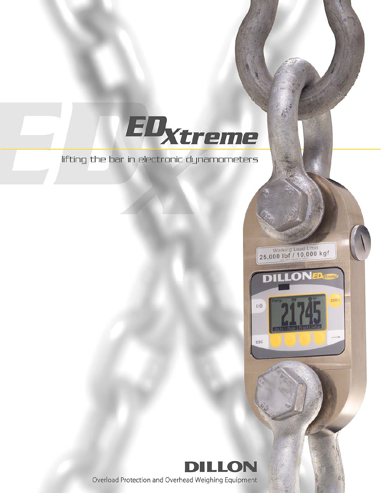lifting the bar in electronic dynamometers

EDxtreme



Working Load Limit<br>25,000 lbf / 10,000 kgf

D

 $110$ 

 $_{\rm{esc}}$ 

**LONED** 

ERC

Overload Protection and Overhead Weighing Equipment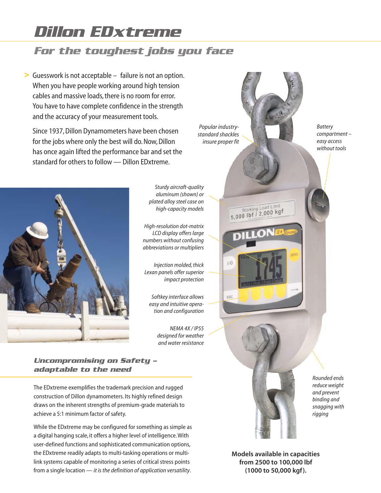# *Dillon EDxtreme*

# *For the toughest jobs you face*

Guesswork is not acceptable – failure is not an option. **>** When you have people working around high tension cables and massive loads, there is no room for error. You have to have complete confidence in the strength and the accuracy of your measurement tools.

Since 1937, Dillon Dynamometers have been chosen for the jobs where only the best will do. Now, Dillon has once again lifted the performance bar and set the standard for others to follow — Dillon EDxtreme.



*Sturdy aircraft-quality aluminum (shown) or plated alloy steel case on high-capacity models*

*High-resolution dot-matrix LCD display offers large numbers without confusing abbreviations or multipliers*

*Injection molded, thick Lexan panels offer superior impact protection*

> *Softkey interface allows easy and intuitive operation and configuration*

> > *NEMA 4X / IP55 designed for weather and water resistance*

*Uncompromising on Safety – adaptable to the need*

The EDxtreme exemplifies the trademark precision and rugged construction of Dillon dynamometers. Its highly refined design draws on the inherent strengths of premium-grade materials to achieve a 5:1 minimum factor of safety.

While the EDxtreme may be configured for something as simple as a digital hanging scale, it offers a higher level of intelligence. With user-defined functions and sophisticated communication options, the EDxtreme readily adapts to multi-tasking operations or multilink systems capable of monitoring a series of critical stress points from a single location — *it is the definition of application versatility*.

*Popular industrystandard shackles insure proper fit*

 $ESC$ 

Working Load Limit<br>5,000 lbf / 2,000 kgf



*Rounded ends reduce weight and prevent binding and snagging with rigging*

**Models available in capacities from 2500 to 100,000 lbf (1000 to 50,000 kgf).**

*Battery compartment – easy access without tools*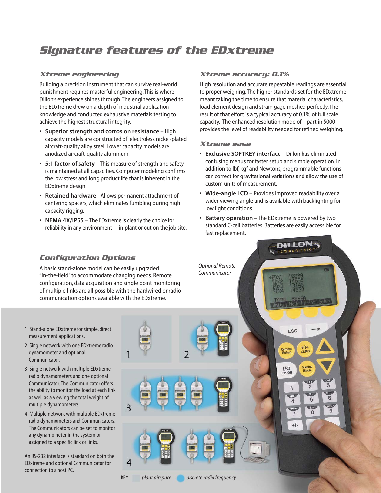# *Signature features of the EDxtreme*

### *Xtreme engineering*

Building a precision instrument that can survive real-world punishment requires masterful engineering. This is where Dillon's experience shines through. The engineers assigned to the EDxtreme drew on a depth of industrial application knowledge and conducted exhaustive materials testing to achieve the highest structural integrity.

- **Superior strength and corrosion resistance** High capacity models are constructed of electroless nickel-plated aircraft-quality alloy steel. Lower capacity models are anodized aircraft-quality aluminum.
- **5:1 factor of safety** This measure of strength and safety is maintained at all capacities. Computer modeling confirms the low stress and long product life that is inherent in the EDxtreme design.
- **Retained hardware** Allows permanent attachment of centering spacers, which eliminates fumbling during high capacity rigging.
- **• NEMA 4X/IP55** The EDxtreme is clearly the choice for reliability in any environment – in-plant or out on the job site.

### *Xtreme accuracy: 0.1%*

High resolution and accurate repeatable readings are essential to proper weighing. The higher standards set for the EDxtreme meant taking the time to ensure that material characteristics, load element design and strain gage meshed perfectly. The result of that effort is a typical accuracy of 0.1% of full scale capacity. The enhanced resolution mode of 1 part in 5000 provides the level of readability needed for refined weighing.

### *Xtreme ease*

- **Exclusive SOFTKEY interface** Dillon has eliminated confusing menus for faster setup and simple operation. In addition to lbf, kgf and Newtons, programmable functions can correct for gravitational variations and allow the use of custom units of measurement.
- **Wide-angle LCD** Provides improved readability over a wider viewing angle and is available with backlighting for low light conditions.
- **Battery operation** The EDxtreme is powered by two standard C-cell batteries. Batteries are easily accessible for fast replacement.